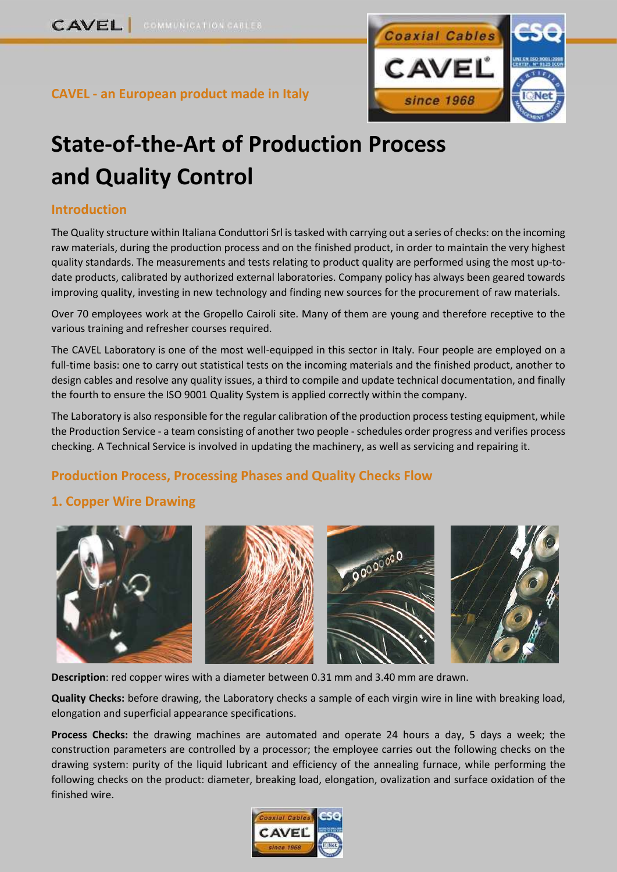

## **CAVEL - an European product made in Italy**

# **State-of-the-Art of Production Process and Quality Control**

#### **Introduction**

The Quality structure within Italiana Conduttori Srl is tasked with carrying out a series of checks: on the incoming raw materials, during the production process and on the finished product, in order to maintain the very highest quality standards. The measurements and tests relating to product quality are performed using the most up-todate products, calibrated by authorized external laboratories. Company policy has always been geared towards improving quality, investing in new technology and finding new sources for the procurement of raw materials.

Over 70 employees work at the Gropello Cairoli site. Many of them are young and therefore receptive to the various training and refresher courses required.

The CAVEL Laboratory is one of the most well-equipped in this sector in Italy. Four people are employed on a full-time basis: one to carry out statistical tests on the incoming materials and the finished product, another to design cables and resolve any quality issues, a third to compile and update technical documentation, and finally the fourth to ensure the ISO 9001 Quality System is applied correctly within the company.

The Laboratory is also responsible for the regular calibration of the production process testing equipment, while the Production Service - a team consisting of another two people -schedules order progress and verifies process checking. A Technical Service is involved in updating the machinery, as well as servicing and repairing it.

#### **Production Process, Processing Phases and Quality Checks Flow**

#### **1. Copper Wire Drawing**



**Description**: red copper wires with a diameter between 0.31 mm and 3.40 mm are drawn.

**Quality Checks:** before drawing, the Laboratory checks a sample of each virgin wire in line with breaking load, elongation and superficial appearance specifications.

**Process Checks:** the drawing machines are automated and operate 24 hours a day, 5 days a week; the construction parameters are controlled by a processor; the employee carries out the following checks on the drawing system: purity of the liquid lubricant and efficiency of the annealing furnace, while performing the following checks on the product: diameter, breaking load, elongation, ovalization and surface oxidation of the finished wire.

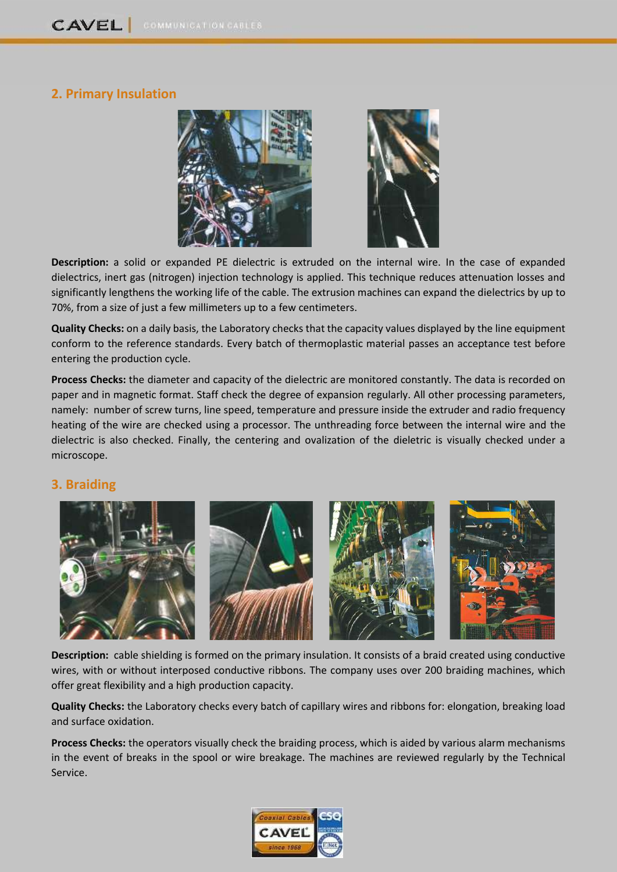### **2. Primary Insulation**



**Description:** a solid or expanded PE dielectric is extruded on the internal wire. In the case of expanded dielectrics, inert gas (nitrogen) injection technology is applied. This technique reduces attenuation losses and significantly lengthens the working life of the cable. The extrusion machines can expand the dielectrics by up to 70%, from a size of just a few millimeters up to a few centimeters.

**Quality Checks:** on a daily basis, the Laboratory checks that the capacity values displayed by the line equipment conform to the reference standards. Every batch of thermoplastic material passes an acceptance test before entering the production cycle.

**Process Checks:** the diameter and capacity of the dielectric are monitored constantly. The data is recorded on paper and in magnetic format. Staff check the degree of expansion regularly. All other processing parameters, namely: number of screw turns, line speed, temperature and pressure inside the extruder and radio frequency heating of the wire are checked using a processor. The unthreading force between the internal wire and the dielectric is also checked. Finally, the centering and ovalization of the dieletric is visually checked under a microscope.

#### **3. Braiding**



**Description:** cable shielding is formed on the primary insulation. It consists of a braid created using conductive wires, with or without interposed conductive ribbons. The company uses over 200 braiding machines, which offer great flexibility and a high production capacity.

**Quality Checks:** the Laboratory checks every batch of capillary wires and ribbons for: elongation, breaking load and surface oxidation.

**Process Checks:** the operators visually check the braiding process, which is aided by various alarm mechanisms in the event of breaks in the spool or wire breakage. The machines are reviewed regularly by the Technical Service.